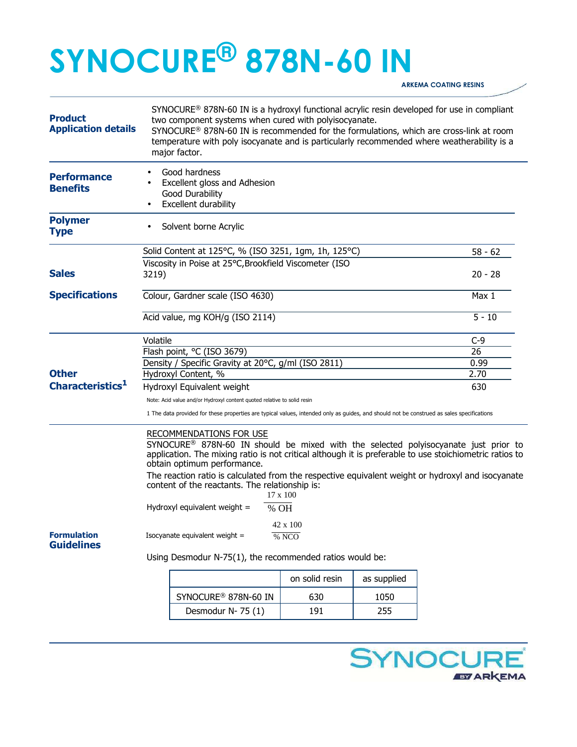# **SYNOCURE® 878N-60 IN**

**ARKEMA COATING RESINS** 

| <b>Product</b><br><b>Application details</b> | $SYNOCURE^@$ 878N-60 IN is a hydroxyl functional acrylic resin developed for use in compliant<br>two component systems when cured with polyisocyanate.<br>SYNOCURE® 878N-60 IN is recommended for the formulations, which are cross-link at room<br>temperature with poly isocyanate and is particularly recommended where weatherability is a<br>major factor.                                                                                       |                                  |                |             |           |
|----------------------------------------------|-------------------------------------------------------------------------------------------------------------------------------------------------------------------------------------------------------------------------------------------------------------------------------------------------------------------------------------------------------------------------------------------------------------------------------------------------------|----------------------------------|----------------|-------------|-----------|
| <b>Performance</b><br><b>Benefits</b>        | Good hardness<br>Excellent gloss and Adhesion<br>Good Durability<br>Excellent durability                                                                                                                                                                                                                                                                                                                                                              |                                  |                |             |           |
| <b>Polymer</b><br><b>Type</b>                | Solvent borne Acrylic                                                                                                                                                                                                                                                                                                                                                                                                                                 |                                  |                |             |           |
|                                              | Solid Content at 125°C, % (ISO 3251, 1gm, 1h, 125°C)                                                                                                                                                                                                                                                                                                                                                                                                  |                                  |                |             | $58 - 62$ |
| <b>Sales</b>                                 | Viscosity in Poise at 25°C, Brookfield Viscometer (ISO<br>3219)                                                                                                                                                                                                                                                                                                                                                                                       |                                  |                |             | $20 - 28$ |
| <b>Specifications</b>                        | Colour, Gardner scale (ISO 4630)                                                                                                                                                                                                                                                                                                                                                                                                                      |                                  |                |             | Max 1     |
|                                              | Acid value, mg KOH/g (ISO 2114)                                                                                                                                                                                                                                                                                                                                                                                                                       |                                  |                |             | $5 - 10$  |
|                                              | Volatile                                                                                                                                                                                                                                                                                                                                                                                                                                              |                                  |                |             | $C-9$     |
|                                              |                                                                                                                                                                                                                                                                                                                                                                                                                                                       | Flash point, °C (ISO 3679)       | 26             |             |           |
|                                              | Density / Specific Gravity at 20°C, g/ml (ISO 2811)                                                                                                                                                                                                                                                                                                                                                                                                   |                                  |                |             | 0.99      |
| <b>Other</b>                                 | Hydroxyl Content, %                                                                                                                                                                                                                                                                                                                                                                                                                                   |                                  |                |             | 2.70      |
| Characteristics <sup>1</sup>                 | Hydroxyl Equivalent weight                                                                                                                                                                                                                                                                                                                                                                                                                            |                                  |                |             | 630       |
|                                              | Note: Acid value and/or Hydroxyl content quoted relative to solid resin                                                                                                                                                                                                                                                                                                                                                                               |                                  |                |             |           |
|                                              | 1 The data provided for these properties are typical values, intended only as guides, and should not be construed as sales specifications                                                                                                                                                                                                                                                                                                             |                                  |                |             |           |
|                                              | <b>RECOMMENDATIONS FOR USE</b><br>SYNOCURE <sup>®</sup> 878N-60 IN should be mixed with the selected polyisocyanate just prior to<br>application. The mixing ratio is not critical although it is preferable to use stoichiometric ratios to<br>obtain optimum performance.<br>The reaction ratio is calculated from the respective equivalent weight or hydroxyl and isocyanate<br>content of the reactants. The relationship is:<br>$17 \times 100$ |                                  |                |             |           |
|                                              | Hydroxyl equivalent weight =<br>% OH                                                                                                                                                                                                                                                                                                                                                                                                                  |                                  |                |             |           |
| <b>Formulation</b><br><b>Guidelines</b>      | 42 x 100<br>Isocyanate equivalent weight =<br>% NCO                                                                                                                                                                                                                                                                                                                                                                                                   |                                  |                |             |           |
|                                              | Using Desmodur N-75(1), the recommended ratios would be:                                                                                                                                                                                                                                                                                                                                                                                              |                                  |                |             |           |
|                                              |                                                                                                                                                                                                                                                                                                                                                                                                                                                       |                                  | on solid resin | as supplied |           |
|                                              |                                                                                                                                                                                                                                                                                                                                                                                                                                                       | SYNOCURE <sup>®</sup> 878N-60 IN | 630            | 1050        |           |
|                                              |                                                                                                                                                                                                                                                                                                                                                                                                                                                       | Desmodur N-75 (1)                | 191            | 255         |           |
|                                              |                                                                                                                                                                                                                                                                                                                                                                                                                                                       |                                  |                |             |           |